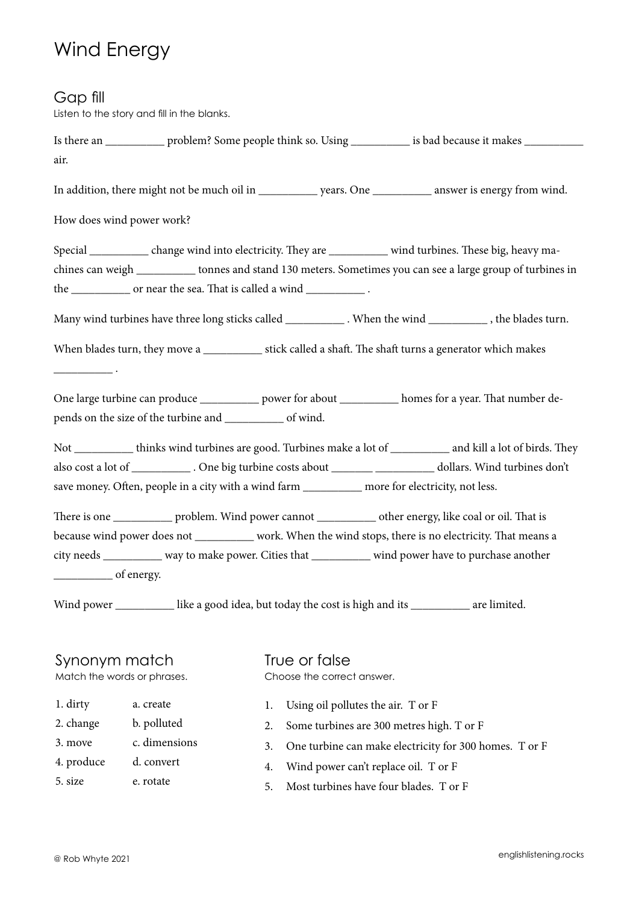## Wind Energy

### Gap fill

Listen to the story and fill in the blanks.

Is there an \_\_\_\_\_\_\_\_\_\_ problem? Some people think so. Using \_\_\_\_\_\_\_\_\_\_ is bad because it makes \_\_\_\_\_\_\_\_\_\_ air. In addition, there might not be much oil in \_\_\_\_\_\_\_\_\_\_\_\_ years. One \_\_\_\_\_\_\_\_\_\_\_ answer is energy from wind. How does wind power work? Special \_\_\_\_\_\_\_\_ change wind into electricity. They are \_\_\_\_\_\_\_\_ wind turbines. These big, heavy machines can weigh \_\_\_\_\_\_\_\_\_\_ tonnes and stand 130 meters. Sometimes you can see a large group of turbines in the \_\_\_\_\_\_\_\_\_\_ or near the sea. That is called a wind \_\_\_\_\_\_\_\_\_\_\_\_. Many wind turbines have three long sticks called \_\_\_\_\_\_\_\_\_\_\_\_. When the wind \_\_\_\_\_\_\_\_\_\_\_, the blades turn. When blades turn, they move a \_\_\_\_\_\_\_\_\_\_ stick called a shaft. The shaft turns a generator which makes  $\overline{\phantom{a}}$  . One large turbine can produce \_\_\_\_\_\_\_\_\_\_ power for about \_\_\_\_\_\_\_\_\_\_ homes for a year. That number depends on the size of the turbine and \_\_\_\_\_\_\_\_\_\_ of wind. Not \_\_\_\_\_\_\_\_\_\_ thinks wind turbines are good. Turbines make a lot of \_\_\_\_\_\_\_\_\_\_ and kill a lot of birds. They also cost a lot of \_\_\_\_\_\_\_\_\_\_ . One big turbine costs about \_\_\_\_\_\_\_ \_\_\_\_\_\_\_\_\_\_ dollars. Wind turbines don't save money. Often, people in a city with a wind farm \_\_\_\_\_\_\_\_\_\_ more for electricity, not less. There is one **problem.** Wind power cannot be the energy, like coal or oil. That is because wind power does not \_\_\_\_\_\_\_\_\_\_ work. When the wind stops, there is no electricity. That means a city needs \_\_\_\_\_\_\_\_\_\_ way to make power. Cities that \_\_\_\_\_\_\_\_\_\_ wind power have to purchase another of energy. Wind power \_\_\_\_\_\_\_\_\_\_\_\_ like a good idea, but today the cost is high and its \_\_\_\_\_\_\_\_\_\_\_\_ are limited.

### Synonym match

Match the words or phrases.

- 1. dirty a. create
- 2. change b. polluted
- 3. move c. dimensions
- 4. produce d. convert
- 5. size e. rotate

True or false Choose the correct answer.

- 1. Using oil pollutes the air. T or F
- 2. Some turbines are 300 metres high. T or F
- 3. One turbine can make electricity for 300 homes. T or F
- 4. Wind power can't replace oil. T or F
- 5. Most turbines have four blades. T or F